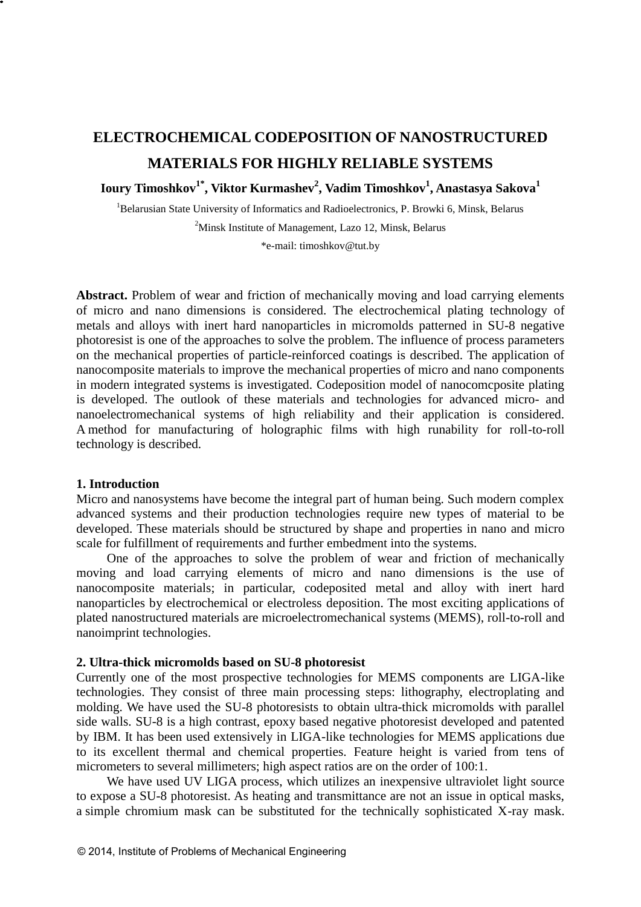# **ELECTROCHEMICAL CODEPOSITION OF NANOSTRUCTURED MATERIALS FOR HIGHLY RELIABLE SYSTEMS**

**Ioury Timoshkov1\* , Viktor Kurmashev<sup>2</sup> , Vadim Timoshkov<sup>1</sup> , Anastasya Sakova<sup>1</sup>**

<sup>1</sup>Belarusian State University of Informatics and Radioelectronics, P. Browki 6, Minsk, Belarus <sup>2</sup>Minsk Institute of Management, Lazo 12, Minsk, Belarus

\*e-mail: timoshkov@tut.by

**Abstract.** Problem of wear and friction of mechanically moving and load carrying elements of micro and nano dimensions is considered. The electrochemical plating technology of metals and alloys with inert hard nanoparticles in micromolds patterned in SU-8 negative photoresist is one of the approaches to solve the problem. The influence of process parameters on the mechanical properties of particle-reinforced coatings is described. The application of nanocomposite materials to improve the mechanical properties of micro and nano components in modern integrated systems is investigated. Codeposition model of nanocomcposite plating is developed. The outlook of these materials and technologies for advanced micro- and nanoelectromechanical systems of high reliability and their application is considered. A method for manufacturing of holographic films with high runability for roll-to-roll technology is described.

### **1. Introduction**

Micro and nanosystems have become the integral part of human being. Such modern complex advanced systems and their production technologies require new types of material to be developed. These materials should be structured by shape and properties in nano and micro scale for fulfillment of requirements and further embedment into the systems.

One of the approaches to solve the problem of wear and friction of mechanically moving and load carrying elements of micro and nano dimensions is the use of nanocomposite materials; in particular, codeposited metal and alloy with inert hard nanoparticles by electrochemical or electroless deposition. The most exciting applications of plated nanostructured materials are microelectromechanical systems (MEMS), roll-to-roll and nanoimprint technologies.

#### **2. Ultra-thick micromolds based on SU-8 photoresist**

Currently one of the most prospective technologies for MEMS components are LIGA-like technologies. They consist of three main processing steps: lithography, electroplating and molding. We have used the SU-8 photoresists to obtain ultra-thick micromolds with parallel side walls. SU-8 is a high contrast, epoxy based negative photoresist developed and patented by IBM. It has been used extensively in LIGA-like technologies for MEMS applications due to its excellent thermal and chemical properties. Feature height is varied from tens of micrometers to several millimeters; high aspect ratios are on the order of 100:1.

We have used UV LIGA process, which utilizes an inexpensive ultraviolet light source to expose a SU-8 photoresist. As heating and transmittance are not an issue in optical masks, a simple chromium mask can be substituted for the technically sophisticated X-ray mask.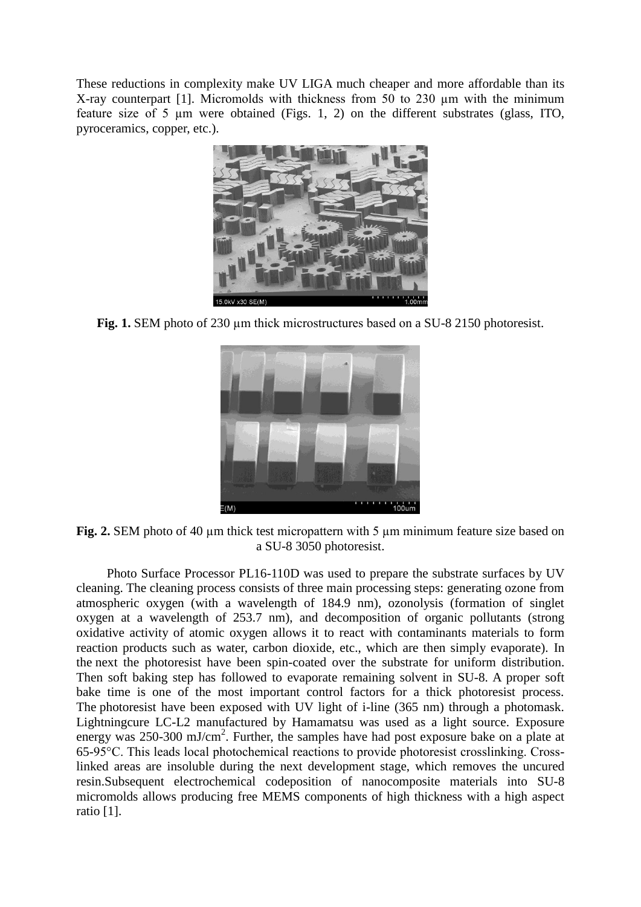These reductions in complexity make UV LIGA much cheaper and more affordable than its X-ray counterpart [1]. Micromolds with thickness from 50 to 230 µm with the minimum feature size of 5 µm were obtained (Figs. 1, 2) on the different substrates (glass, ITO, pyroceramics, copper, etc.).



**Fig. 1.** SEM photo of 230 µm thick microstructures based on a SU-8 2150 photoresist.



**Fig. 2.** SEM photo of 40 µm thick test micropattern with 5 µm minimum feature size based on a SU-8 3050 photoresist.

Photo Surface Processor PL16-110D was used to prepare the substrate surfaces by UV cleaning. The cleaning process consists of three main processing steps: generating ozone from atmospheric oxygen (with a wavelength of 184.9 nm), ozonolysis (formation of singlet oxygen at a wavelength of 253.7 nm), and decomposition of organic pollutants (strong oxidative activity of atomic oxygen allows it to react with contaminants materials to form reaction products such as water, carbon dioxide, etc., which are then simply evaporate). In the next the photoresist have been spin-coated over the substrate for uniform distribution. Then soft baking step has followed to evaporate remaining solvent in SU-8. A proper soft bake time is one of the most important control factors for a thick photoresist process. The photoresist have been exposed with UV light of i-line (365 nm) through a photomask. Lightningcure LC-L2 manufactured by Hamamatsu was used as a light source. Exposure energy was 250-300 mJ/cm<sup>2</sup>. Further, the samples have had post exposure bake on a plate at 65-95°С. This leads local photochemical reactions to provide photoresist crosslinking. Crosslinked areas are insoluble during the next development stage, which removes the uncured resin.Subsequent electrochemical codeposition of nanocomposite materials into SU-8 micromolds allows producing free MEMS components of high thickness with a high aspect ratio [1].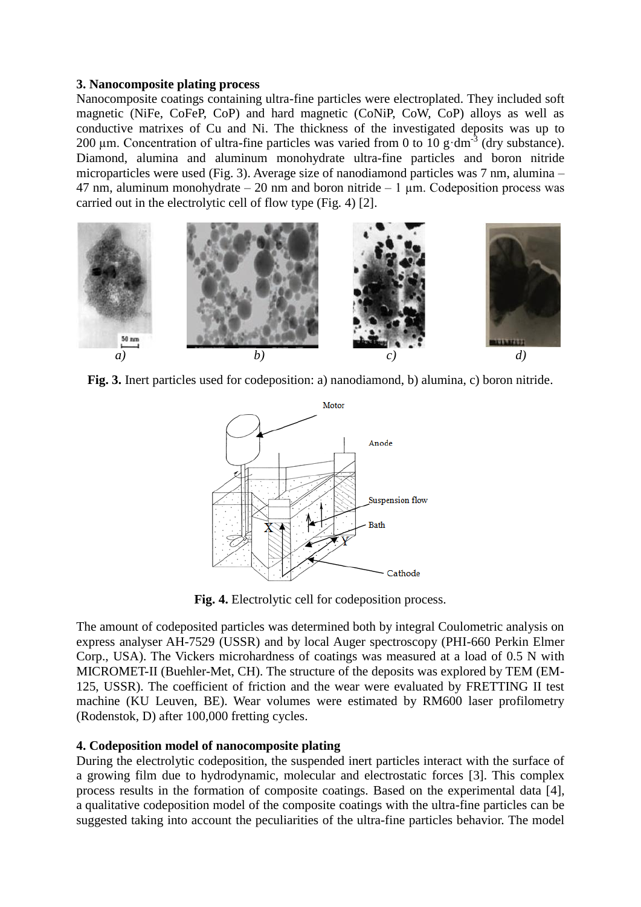# **3. Nanocomposite plating process**

Nanocomposite coatings containing ultra-fine particles were electroplated. They included soft magnetic (NiFe, CoFeP, CoP) and hard magnetic (CoNiP, CoW, CoP) alloys as well as conductive matrixes of Cu and Ni. The thickness of the investigated deposits was up to 200  $\mu$ m. Concentration of ultra-fine particles was varied from 0 to 10 g·dm<sup>-3</sup> (dry substance). Diamond, alumina and aluminum monohydrate ultra-fine particles and boron nitride microparticles were used (Fig. 3). Average size of nanodiamond particles was 7 nm, alumina – 47 nm, aluminum monohydrate  $-20$  nm and boron nitride  $-1 \mu$ m. Codeposition process was carried out in the electrolytic cell of flow type (Fig. 4) [2].



**Fig. 3.** Inert particles used for codeposition: a) nanodiamond, b) alumina, c) boron nitride.



**Fig. 4.** Electrolytic cell for codeposition process.

The amount of codeposited particles was determined both by integral Coulometric analysis on express analyser AH-7529 (USSR) and by local Auger spectroscopy (PHI-660 Perkin Elmer Corp., USA). The Vickers microhardness of coatings was measured at a load of 0.5 N with MICROMET-II (Buehler-Met, CH). The structure of the deposits was explored by TEM (EM-125, USSR). The coefficient of friction and the wear were evaluated by FRETTING II test machine (KU Leuven, BE). Wear volumes were estimated by RM600 laser profilometry (Rodenstok, D) after 100,000 fretting cycles.

# **4. Codeposition model of nanocomposite plating**

During the electrolytic codeposition, the suspended inert particles interact with the surface of a growing film due to hydrodynamic, molecular and electrostatic forces [3]. This complex process results in the formation of composite coatings. Based on the experimental data [4], a qualitative codeposition model of the composite coatings with the ultra-fine particles can be suggested taking into account the peculiarities of the ultra-fine particles behavior. The model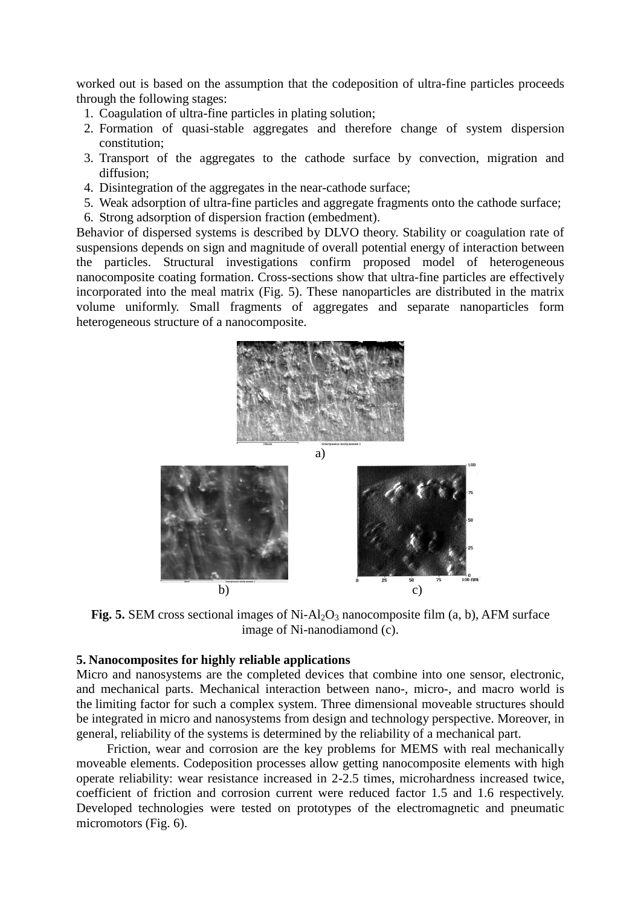worked out is based on the assumption that the codeposition of ultra-fine particles proceeds through the following stages:

- 1. Coagulation of ultra-fine particles in plating solution;
- 2. Formation of quasi-stable aggregates and therefore change of system dispersion constitution;
- 3. Transport of the aggregates to the cathode surface by convection, migration and diffusion;
- 4. Disintegration of the aggregates in the near-cathode surface;
- 5. Weak adsorption of ultra-fine particles and aggregate fragments onto the cathode surface;
- 6. Strong adsorption of dispersion fraction (embedment).

Behavior of dispersed systems is described by DLVO theory. Stability or coagulation rate of suspensions depends on sign and magnitude of overall potential energy of interaction between the particles. Structural investigations confirm proposed model of heterogeneous nanocomposite coating formation. Cross-sections show that ultra-fine particles are effectively incorporated into the meal matrix (Fig. 5). These nanoparticles are distributed in the matrix volume uniformly. Small fragments of aggregates and separate nanoparticles form heterogeneous structure of a nanocomposite.





**Fig. 5.** SEM cross sectional images of Ni-Al<sub>2</sub>O<sub>3</sub> nanocomposite film (a, b), AFM surface image of Ni-nanodiamond (c).

#### **5. Nanocomposites for highly reliable applications**

Micro and nanosystems are the completed devices that combine into one sensor, electronic, and mechanical parts. Mechanical interaction between nano-, micro-, and macro world is the limiting factor for such a complex system. Three dimensional moveable structures should be integrated in micro and nanosystems from design and technology perspective. Moreover, in general, reliability of the systems is determined by the reliability of a mechanical part.

Friction, wear and corrosion are the key problems for MEMS with real mechanically moveable elements. Codeposition processes allow getting nanocomposite elements with high operate reliability: wear resistance increased in 2-2.5 times, microhardness increased twice, coefficient of friction and corrosion current were reduced factor 1.5 and 1.6 respectively. Developed technologies were tested on prototypes of the electromagnetic and pneumatic micromotors (Fig. 6).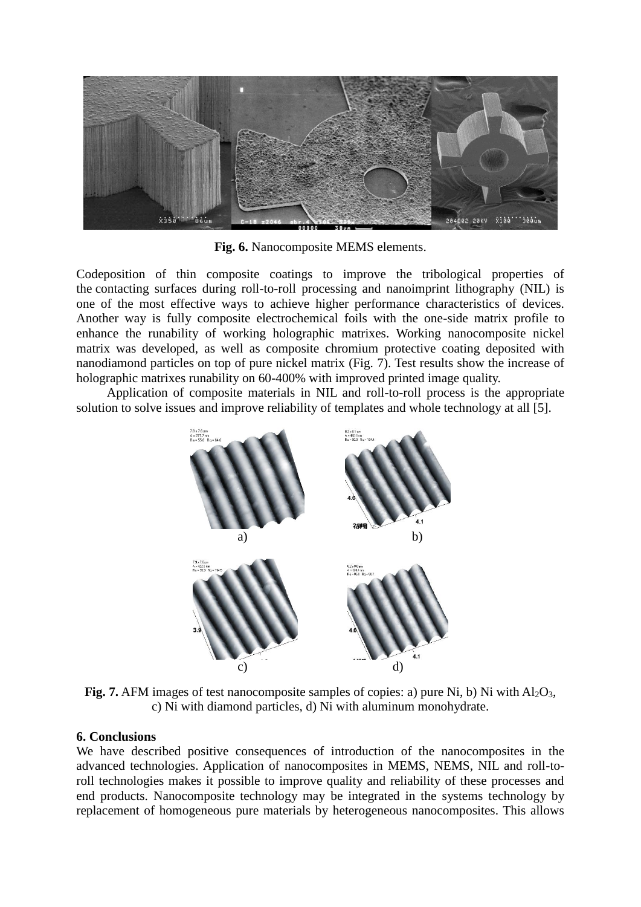

**Fig. 6.** Nanocomposite MEMS elements.

Codeposition of thin composite coatings to improve the tribological properties of the contacting surfaces during roll-to-roll processing and nanoimprint lithography (NIL) is one of the most effective ways to achieve higher performance characteristics of devices. Another way is fully composite electrochemical foils with the one-side matrix profile to enhance the runability of working holographic matrixes. Working nanocomposite nickel matrix was developed, as well as composite chromium protective coating deposited with nanodiamond particles on top of pure nickel matrix (Fig. 7). Test results show the increase of holographic matrixes runability on 60-400% with improved printed image quality.

Application of composite materials in NIL and roll-to-roll process is the appropriate solution to solve issues and improve reliability of templates and whole technology at all [5].



**Fig. 7.** AFM images of test nanocomposite samples of copies: a) pure Ni, b) Ni with  $A_1O_3$ , c) Ni with diamond particles, d) Ni with aluminum monohydrate.

## **6. Conclusions**

We have described positive consequences of introduction of the nanocomposites in the advanced technologies. Application of nanocomposites in MEMS, NEMS, NIL and roll-toroll technologies makes it possible to improve quality and reliability of these processes and end products. Nanocomposite technology may be integrated in the systems technology by replacement of homogeneous pure materials by heterogeneous nanocomposites. This allows